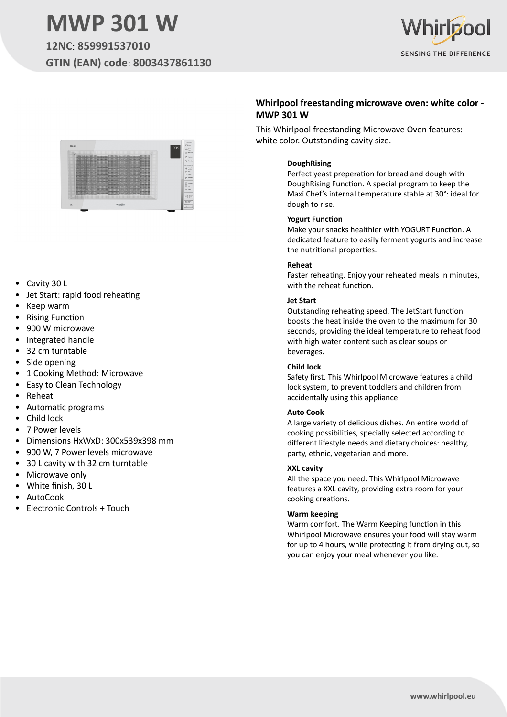# **MWP 301 W**

**12NC**: **859991537010 GTIN (EAN) code**: **8003437861130**





- Cavity 30 L
- Jet Start: rapid food reheating
- Keep warm
- Rising Function
- 900 W microwave
- Integrated handle
- 32 cm turntable
- Side opening
- 1 Cooking Method: Microwave
- Easy to Clean Technology
- Reheat
- Automatic programs
- Child lock
- 7 Power levels
- Dimensions HxWxD: 300x539x398 mm
- 900 W, 7 Power levels microwave
- 30 L cavity with 32 cm turntable
- Microwave only
- White finish, 30 L
- AutoCook
- Electronic Controls + Touch

## **Whirlpool freestanding microwave oven: white color - MWP 301 W**

This Whirlpool freestanding Microwave Oven features: white color. Outstanding cavity size.

## **DoughRising**

Perfect yeast preperation for bread and dough with DoughRising Function. A special program to keep the Maxi Chef's internal temperature stable at 30°: ideal for dough to rise.

#### **Yogurt Function**

Make your snacks healthier with YOGURT Function. A dedicated feature to easily ferment yogurts and increase the nutritional properties.

#### **Reheat**

Faster reheating. Enjoy your reheated meals in minutes, with the reheat function.

#### **Jet Start**

Outstanding reheating speed. The JetStart function boosts the heat inside the oven to the maximum for 30 seconds, providing the ideal temperature to reheat food with high water content such as clear soups or beverages.

#### **Child lock**

Safety first. This Whirlpool Microwave features a child lock system, to prevent toddlers and children from accidentally using this appliance.

#### **Auto Cook**

A large variety of delicious dishes. An entire world of cooking possibilities, specially selected according to different lifestyle needs and dietary choices: healthy, party, ethnic, vegetarian and more.

#### **XXL cavity**

All the space you need. This Whirlpool Microwave features a XXL cavity, providing extra room for your cooking creations.

#### **Warm keeping**

Warm comfort. The Warm Keeping function in this Whirlpool Microwave ensures your food will stay warm for up to 4 hours, while protecting it from drying out, so you can enjoy your meal whenever you like.